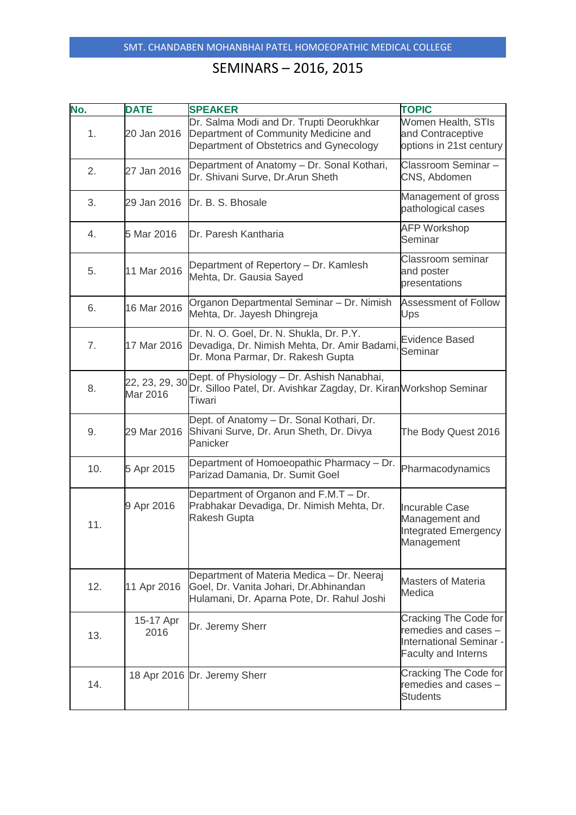| No. | <b>DATE</b>                | <b>SPEAKER</b>                                                                                                                     | <b>TOPIC</b>                                                                                           |
|-----|----------------------------|------------------------------------------------------------------------------------------------------------------------------------|--------------------------------------------------------------------------------------------------------|
| 1.  | 20 Jan 2016                | Dr. Salma Modi and Dr. Trupti Deorukhkar<br>Department of Community Medicine and<br>Department of Obstetrics and Gynecology        | Women Health, STIs<br>and Contraceptive<br>options in 21st century                                     |
| 2.  | 27 Jan 2016                | Department of Anatomy - Dr. Sonal Kothari,<br>Dr. Shivani Surve, Dr. Arun Sheth                                                    | Classroom Seminar-<br>CNS, Abdomen                                                                     |
| 3.  | 29 Jan 2016                | Dr. B. S. Bhosale                                                                                                                  | Management of gross<br>pathological cases                                                              |
| 4.  | 5 Mar 2016                 | Dr. Paresh Kantharia                                                                                                               | <b>AFP Workshop</b><br>Seminar                                                                         |
| 5.  | 11 Mar 2016                | Department of Repertory - Dr. Kamlesh<br>Mehta, Dr. Gausia Sayed                                                                   | Classroom seminar<br>and poster<br>presentations                                                       |
| 6.  | 16 Mar 2016                | Organon Departmental Seminar - Dr. Nimish<br>Mehta, Dr. Jayesh Dhingreja                                                           | Assessment of Follow<br>Ups                                                                            |
| 7.  | 17 Mar 2016                | Dr. N. O. Goel, Dr. N. Shukla, Dr. P.Y.<br>Devadiga, Dr. Nimish Mehta, Dr. Amir Badami,<br>Dr. Mona Parmar, Dr. Rakesh Gupta       | Evidence Based<br>Seminar                                                                              |
| 8.  | 22, 23, 29, 30<br>Mar 2016 | Dept. of Physiology - Dr. Ashish Nanabhai,<br>Dr. Silloo Patel, Dr. Avishkar Zagday, Dr. Kiran Workshop Seminar<br>Tiwari          |                                                                                                        |
| 9.  | 29 Mar 2016                | Dept. of Anatomy - Dr. Sonal Kothari, Dr.<br>Shivani Surve, Dr. Arun Sheth, Dr. Divya<br>Panicker                                  | The Body Quest 2016                                                                                    |
| 10. | 5 Apr 2015                 | Department of Homoeopathic Pharmacy - Dr.<br>Parizad Damania, Dr. Sumit Goel                                                       | Pharmacodynamics                                                                                       |
| 11. | 9 Apr 2016                 | Department of Organon and F.M.T - Dr.<br>Prabhakar Devadiga, Dr. Nimish Mehta, Dr.<br><b>Rakesh Gupta</b>                          | <b>Incurable Case</b><br>Management and<br><b>Integrated Emergency</b><br>Management                   |
| 12. | 11 Apr 2016                | Department of Materia Medica - Dr. Neeraj<br>Goel, Dr. Vanita Johari, Dr. Abhinandan<br>Hulamani, Dr. Aparna Pote, Dr. Rahul Joshi | <b>Masters of Materia</b><br>Medica                                                                    |
| 13. | 15-17 Apr<br>2016          | Dr. Jeremy Sherr                                                                                                                   | Cracking The Code for<br>remedies and cases -<br>International Seminar -<br><b>Faculty and Interns</b> |
| 14. |                            | 18 Apr 2016 Dr. Jeremy Sherr                                                                                                       | Cracking The Code for<br>remedies and cases -<br><b>Students</b>                                       |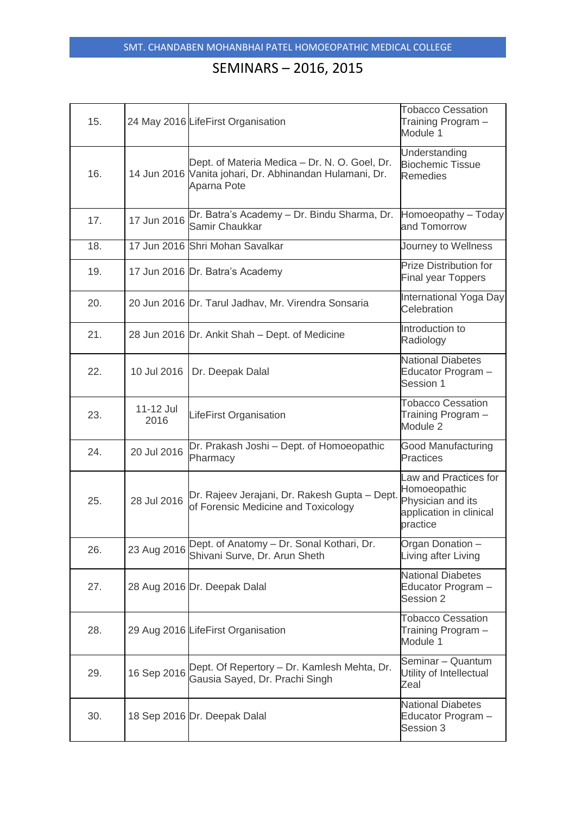| 15. |                   | 24 May 2016 LifeFirst Organisation                                                                                      | <b>Tobacco Cessation</b><br>Training Program -<br>Module 1                                        |
|-----|-------------------|-------------------------------------------------------------------------------------------------------------------------|---------------------------------------------------------------------------------------------------|
| 16. |                   | Dept. of Materia Medica - Dr. N. O. Goel, Dr.<br>14 Jun 2016 Vanita johari, Dr. Abhinandan Hulamani, Dr.<br>Aparna Pote | Understanding<br><b>Biochemic Tissue</b><br><b>Remedies</b>                                       |
| 17. | 17 Jun 2016       | Dr. Batra's Academy - Dr. Bindu Sharma, Dr.<br>Samir Chaukkar                                                           | Homoeopathy - Today<br>and Tomorrow                                                               |
| 18. |                   | 17 Jun 2016 Shri Mohan Savalkar                                                                                         | Journey to Wellness                                                                               |
| 19. |                   | 17 Jun 2016 Dr. Batra's Academy                                                                                         | Prize Distribution for<br><b>Final year Toppers</b>                                               |
| 20. |                   | 20 Jun 2016 Dr. Tarul Jadhav, Mr. Virendra Sonsaria                                                                     | International Yoga Day<br>Celebration                                                             |
| 21. |                   | 28 Jun 2016 Dr. Ankit Shah - Dept. of Medicine                                                                          | Introduction to<br>Radiology                                                                      |
| 22. | 10 Jul 2016       | Dr. Deepak Dalal                                                                                                        | <b>National Diabetes</b><br>Educator Program -<br>Session 1                                       |
| 23. | 11-12 Jul<br>2016 | LifeFirst Organisation                                                                                                  | <b>Tobacco Cessation</b><br>Training Program -<br>Module 2                                        |
| 24. | 20 Jul 2016       | Dr. Prakash Joshi - Dept. of Homoeopathic<br>Pharmacy                                                                   | Good Manufacturing<br><b>Practices</b>                                                            |
| 25. | 28 Jul 2016       | Dr. Rajeev Jerajani, Dr. Rakesh Gupta - Dept.<br>of Forensic Medicine and Toxicology                                    | Law and Practices for<br>Homoeopathic<br>Physician and its<br>application in clinical<br>practice |
| 26. | 23 Aug 2016       | Dept. of Anatomy - Dr. Sonal Kothari, Dr.<br>Shivani Surve, Dr. Arun Sheth                                              | Organ Donation -<br>Living after Living                                                           |
| 27. |                   | 28 Aug 2016 Dr. Deepak Dalal                                                                                            | <b>National Diabetes</b><br>Educator Program -<br>Session 2                                       |
| 28. |                   | 29 Aug 2016 LifeFirst Organisation                                                                                      | <b>Tobacco Cessation</b><br>Training Program -<br>Module 1                                        |
| 29. | 16 Sep 2016       | Dept. Of Repertory - Dr. Kamlesh Mehta, Dr.<br>Gausia Sayed, Dr. Prachi Singh                                           | Seminar - Quantum<br>Utility of Intellectual<br>Zeal                                              |
| 30. |                   | 18 Sep 2016 Dr. Deepak Dalal                                                                                            | <b>National Diabetes</b><br>Educator Program -<br>Session 3                                       |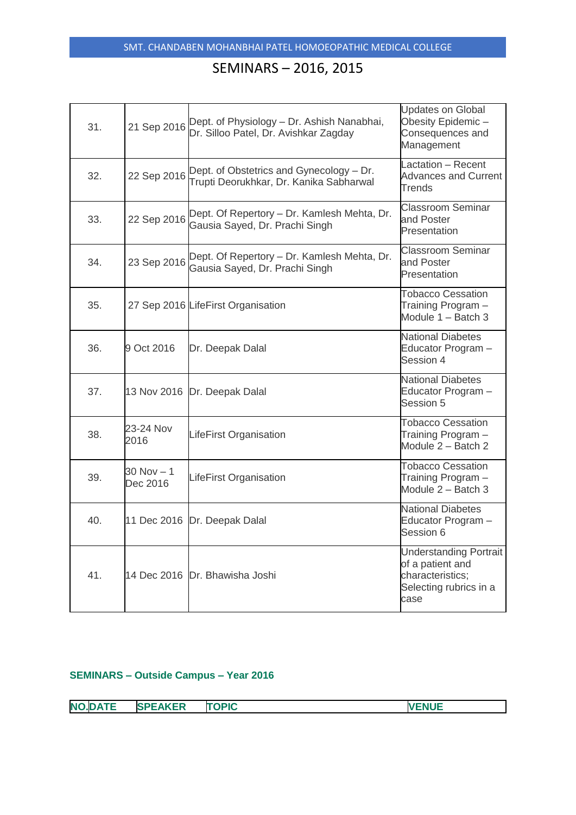| 31. | 21 Sep 2016               | Dept. of Physiology - Dr. Ashish Nanabhai,<br>Dr. Silloo Patel, Dr. Avishkar Zagday | <b>Updates on Global</b><br>Obesity Epidemic-<br>Consequences and<br>Management                         |
|-----|---------------------------|-------------------------------------------------------------------------------------|---------------------------------------------------------------------------------------------------------|
| 32. | 22 Sep 2016               | Dept. of Obstetrics and Gynecology - Dr.<br>Trupti Deorukhkar, Dr. Kanika Sabharwal | Lactation - Recent<br><b>Advances and Current</b><br>Trends                                             |
| 33. | 22 Sep 2016               | Dept. Of Repertory - Dr. Kamlesh Mehta, Dr.<br>Gausia Sayed, Dr. Prachi Singh       | <b>Classroom Seminar</b><br>and Poster<br>Presentation                                                  |
| 34. | 23 Sep 2016               | Dept. Of Repertory - Dr. Kamlesh Mehta, Dr.<br>Gausia Sayed, Dr. Prachi Singh       | <b>Classroom Seminar</b><br>and Poster<br>Presentation                                                  |
| 35. |                           | 27 Sep 2016 LifeFirst Organisation                                                  | <b>Tobacco Cessation</b><br>Training Program -<br>Module 1 – Batch 3                                    |
| 36. | 9 Oct 2016                | Dr. Deepak Dalal                                                                    | <b>National Diabetes</b><br>Educator Program -<br>Session 4                                             |
| 37. | 13 Nov 2016               | Dr. Deepak Dalal                                                                    | <b>National Diabetes</b><br>Educator Program -<br>Session 5                                             |
| 38. | 23-24 Nov<br>2016         | LifeFirst Organisation                                                              | <b>Tobacco Cessation</b><br>Training Program -<br>Module 2 - Batch 2                                    |
| 39. | $30$ Nov $-1$<br>Dec 2016 | LifeFirst Organisation                                                              | <b>Tobacco Cessation</b><br>Training Program -<br>Module 2 - Batch 3                                    |
| 40. | 11 Dec 2016               | Dr. Deepak Dalal                                                                    | <b>National Diabetes</b><br>Educator Program -<br>Session 6                                             |
| 41. |                           | 14 Dec 2016 Dr. Bhawisha Joshi                                                      | <b>Understanding Portrait</b><br>of a patient and<br>characteristics;<br>Selecting rubrics in a<br>case |

#### **SEMINARS – Outside Campus – Year 2016**

| --<br><b>NC</b><br>.C<br>- 1<br>$\mathbf{v}$<br>المستقل المنا | <b>AKER</b><br>S | TADIO<br>יי | . |
|---------------------------------------------------------------|------------------|-------------|---|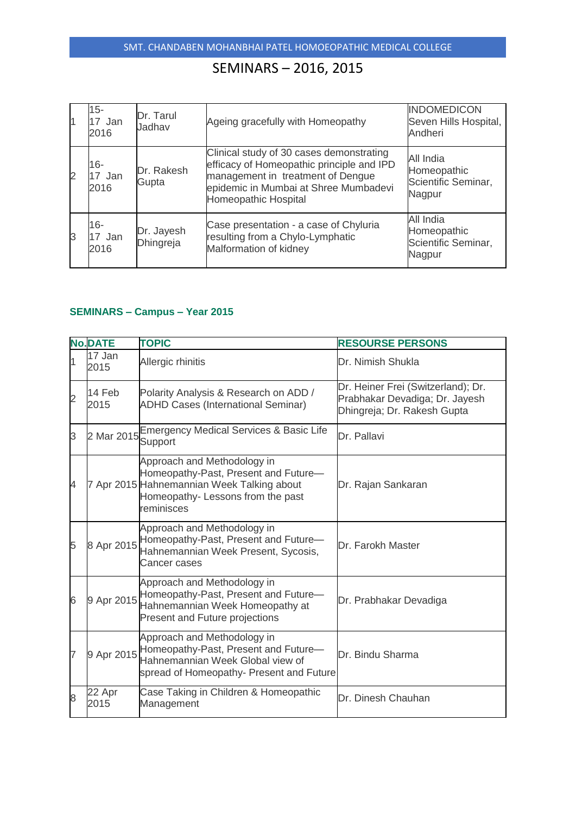| $15 -$<br>17 Jan<br>2016 | Dr. Tarul<br>Jadhav     | Ageing gracefully with Homeopathy                                                                                                                                                           | <b>INDOMEDICON</b><br>Seven Hills Hospital,<br>Andheri    |
|--------------------------|-------------------------|---------------------------------------------------------------------------------------------------------------------------------------------------------------------------------------------|-----------------------------------------------------------|
| 16-<br>17 Jan<br>2016    | Dr. Rakesh<br>Gupta     | Clinical study of 30 cases demonstrating<br>efficacy of Homeopathic principle and IPD<br>management in treatment of Dengue<br>epidemic in Mumbai at Shree Mumbadevi<br>Homeopathic Hospital | All India<br>Homeopathic<br>Scientific Seminar,<br>Nagpur |
| 16-<br>17 Jan<br>2016    | Dr. Jayesh<br>Dhingreja | Case presentation - a case of Chyluria<br>resulting from a Chylo-Lymphatic<br>Malformation of kidney                                                                                        | All India<br>Homeopathic<br>Scientific Seminar,<br>Nagpur |

### **SEMINARS – Campus – Year 2015**

|                | <b>No.DATE</b> | <b>TOPIC</b>                                                                                                                                                         | <b>RESOURSE PERSONS</b>                                                                             |
|----------------|----------------|----------------------------------------------------------------------------------------------------------------------------------------------------------------------|-----------------------------------------------------------------------------------------------------|
| 1              | 17 Jan<br>2015 | Allergic rhinitis                                                                                                                                                    | Dr. Nimish Shukla                                                                                   |
| $\overline{2}$ | 14 Feb<br>2015 | Polarity Analysis & Research on ADD /<br><b>ADHD Cases (International Seminar)</b>                                                                                   | Dr. Heiner Frei (Switzerland); Dr.<br>Prabhakar Devadiga; Dr. Jayesh<br>Dhingreja; Dr. Rakesh Gupta |
| 3              |                | 2 Mar 2015 Emergency Medical Services & Basic Life<br>Support                                                                                                        | Dr. Pallavi                                                                                         |
| 4              |                | Approach and Methodology in<br>Homeopathy-Past, Present and Future-<br>7 Apr 2015 Hahnemannian Week Talking about<br>Homeopathy- Lessons from the past<br>reminisces | Dr. Rajan Sankaran                                                                                  |
| 5              | 8 Apr 2015     | Approach and Methodology in<br>Homeopathy-Past, Present and Future-<br>Hahnemannian Week Present, Sycosis,<br>Cancer cases                                           | Dr. Farokh Master                                                                                   |
| 6              | 9 Apr 2015     | Approach and Methodology in<br>Homeopathy-Past, Present and Future-<br>Hahnemannian Week Homeopathy at<br>Present and Future projections                             | Dr. Prabhakar Devadiga                                                                              |
| $\overline{7}$ | 9 Apr 2015     | Approach and Methodology in<br>Homeopathy-Past, Present and Future-<br>Hahnemannian Week Global view of<br>spread of Homeopathy- Present and Future                  | Dr. Bindu Sharma                                                                                    |
| 8              | 22 Apr<br>2015 | Case Taking in Children & Homeopathic<br>Management                                                                                                                  | Dr. Dinesh Chauhan                                                                                  |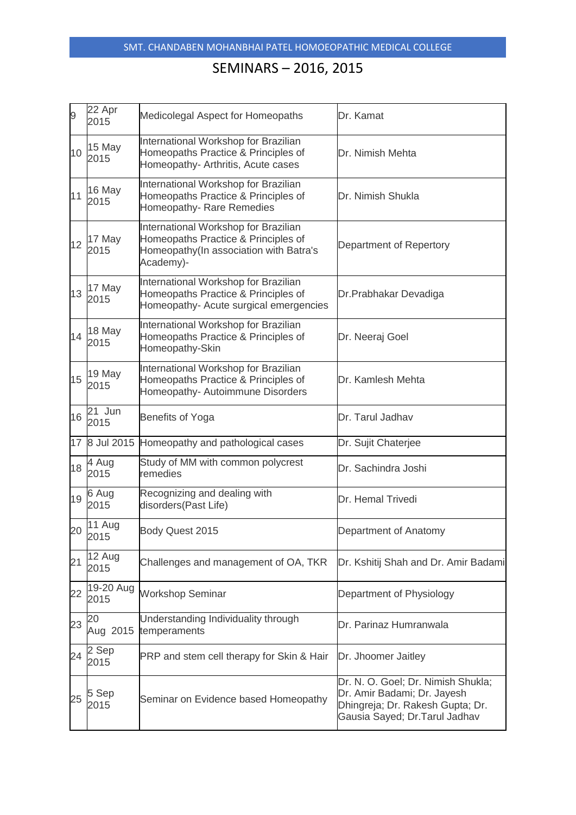| 9  | 22 Apr<br>2015    | Medicolegal Aspect for Homeopaths                                                                                                  | Dr. Kamat                                                                                                                              |
|----|-------------------|------------------------------------------------------------------------------------------------------------------------------------|----------------------------------------------------------------------------------------------------------------------------------------|
| 10 | 15 May<br>2015    | International Workshop for Brazilian<br>Homeopaths Practice & Principles of<br>Homeopathy- Arthritis, Acute cases                  | Dr. Nimish Mehta                                                                                                                       |
| 11 | 16 May<br>2015    | International Workshop for Brazilian<br>Homeopaths Practice & Principles of<br>Homeopathy-Rare Remedies                            | Dr. Nimish Shukla                                                                                                                      |
| 12 | 17 May<br>2015    | International Workshop for Brazilian<br>Homeopaths Practice & Principles of<br>Homeopathy(In association with Batra's<br>Academy)- | Department of Repertory                                                                                                                |
| 13 | 17 May<br>2015    | International Workshop for Brazilian<br>Homeopaths Practice & Principles of<br>Homeopathy- Acute surgical emergencies              | Dr. Prabhakar Devadiga                                                                                                                 |
| 14 | 18 May<br>2015    | International Workshop for Brazilian<br>Homeopaths Practice & Principles of<br>Homeopathy-Skin                                     | Dr. Neeraj Goel                                                                                                                        |
| 15 | 19 May<br>2015    | International Workshop for Brazilian<br>Homeopaths Practice & Principles of<br>Homeopathy- Autoimmune Disorders                    | Dr. Kamlesh Mehta                                                                                                                      |
| 16 | 21 Jun<br>2015    | Benefits of Yoga                                                                                                                   | Dr. Tarul Jadhav                                                                                                                       |
|    |                   | 17 8 Jul 2015 Homeopathy and pathological cases                                                                                    | Dr. Sujit Chaterjee                                                                                                                    |
| 18 | 4 Aug<br>2015     | Study of MM with common polycrest<br>remedies                                                                                      | Dr. Sachindra Joshi                                                                                                                    |
| 19 | 6 Aug<br>2015     | Recognizing and dealing with<br>disorders(Past Life)                                                                               | Dr. Hemal Trivedi                                                                                                                      |
| 20 | 11 Aug<br>2015    | Body Quest 2015                                                                                                                    | Department of Anatomy                                                                                                                  |
| 21 | 12 Aug<br>2015    | Challenges and management of OA, TKR                                                                                               | Dr. Kshitij Shah and Dr. Amir Badami                                                                                                   |
| 22 | 19-20 Aug<br>2015 | <b>Workshop Seminar</b>                                                                                                            | Department of Physiology                                                                                                               |
| 23 | 20<br>Aug 2015    | Understanding Individuality through<br>temperaments                                                                                | Dr. Parinaz Humranwala                                                                                                                 |
| 24 | 2 Sep<br>2015     | PRP and stem cell therapy for Skin & Hair                                                                                          | Dr. Jhoomer Jaitley                                                                                                                    |
| 25 | 5 Sep<br>2015     | Seminar on Evidence based Homeopathy                                                                                               | Dr. N. O. Goel; Dr. Nimish Shukla;<br>Dr. Amir Badami; Dr. Jayesh<br>Dhingreja; Dr. Rakesh Gupta; Dr.<br>Gausia Sayed; Dr.Tarul Jadhav |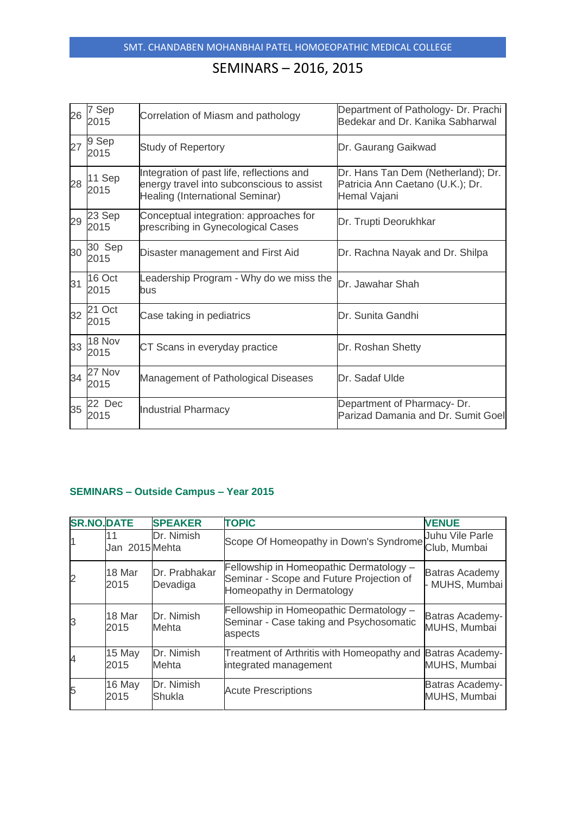| 26 | 7 Sep<br>2015  | Correlation of Miasm and pathology                                                                                        | Department of Pathology- Dr. Prachi<br>Bedekar and Dr. Kanika Sabharwal                |
|----|----------------|---------------------------------------------------------------------------------------------------------------------------|----------------------------------------------------------------------------------------|
| 27 | 9 Sep<br>2015  | <b>Study of Repertory</b>                                                                                                 | Dr. Gaurang Gaikwad                                                                    |
| 28 | 11 Sep<br>2015 | Integration of past life, reflections and<br>energy travel into subconscious to assist<br>Healing (International Seminar) | Dr. Hans Tan Dem (Netherland); Dr.<br>Patricia Ann Caetano (U.K.); Dr.<br>Hemal Vajani |
| 29 | 23 Sep<br>2015 | Conceptual integration: approaches for<br>prescribing in Gynecological Cases                                              | Dr. Trupti Deorukhkar                                                                  |
| 30 | 30 Sep<br>2015 | Disaster management and First Aid                                                                                         | Dr. Rachna Nayak and Dr. Shilpa                                                        |
| 31 | 16 Oct<br>2015 | Leadership Program - Why do we miss the<br>bus                                                                            | Dr. Jawahar Shah                                                                       |
| 32 | 21 Oct<br>2015 | Case taking in pediatrics                                                                                                 | Dr. Sunita Gandhi                                                                      |
| 33 | 18 Nov<br>2015 | CT Scans in everyday practice                                                                                             | Dr. Roshan Shetty                                                                      |
| 34 | 27 Nov<br>2015 | Management of Pathological Diseases                                                                                       | Dr. Sadaf Ulde                                                                         |
| 35 | 22 Dec<br>2015 | <b>Industrial Pharmacy</b>                                                                                                | Department of Pharmacy-Dr.<br>Parizad Damania and Dr. Sumit Goel                       |

#### **SEMINARS – Outside Campus – Year 2015**

| <b>SR.NO.DATE</b> |                | <b>SPEAKER</b>            | <b>TOPIC</b>                                                                                                     | <b>VENUE</b>                            |
|-------------------|----------------|---------------------------|------------------------------------------------------------------------------------------------------------------|-----------------------------------------|
|                   | Jan 2015 Mehta | Dr. Nimish                | Scope Of Homeopathy in Down's Syndrome Club, Mumbai                                                              | Juhu Vile Parle                         |
| $\overline{2}$    | 18 Mar<br>2015 | Dr. Prabhakar<br>Devadiga | Fellowship in Homeopathic Dermatology -<br>Seminar - Scope and Future Projection of<br>Homeopathy in Dermatology | <b>Batras Academy</b><br>- MUHS, Mumbai |
| 3                 | 18 Mar<br>2015 | Dr. Nimish<br>Mehta       | Fellowship in Homeopathic Dermatology -<br>Seminar - Case taking and Psychosomatic<br>aspects                    | Batras Academy-<br>MUHS, Mumbai         |
| 4                 | 15 May<br>2015 | Dr. Nimish<br>Mehta       | Treatment of Arthritis with Homeopathy and<br>integrated management                                              | <b>Batras Academy-</b><br>MUHS, Mumbai  |
| 5                 | 16 May<br>2015 | Dr. Nimish<br>Shukla      | <b>Acute Prescriptions</b>                                                                                       | <b>Batras Academy-</b><br>MUHS, Mumbai  |